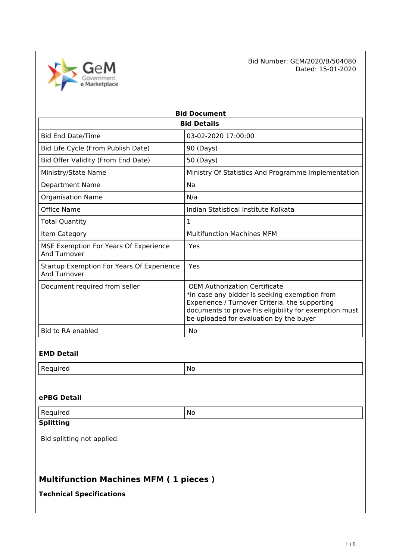

Bid Number: GEM/2020/B/504080<br>Dated: 15-01-2020 Dated: 15-01-2020

| <b>Bid Document</b>                                       |                                                                                                                                                                                                                                      |  |  |
|-----------------------------------------------------------|--------------------------------------------------------------------------------------------------------------------------------------------------------------------------------------------------------------------------------------|--|--|
| <b>Bid Details</b>                                        |                                                                                                                                                                                                                                      |  |  |
| <b>Bid End Date/Time</b>                                  | 03-02-2020 17:00:00                                                                                                                                                                                                                  |  |  |
| Bid Life Cycle (From Publish Date)                        | 90 (Days)                                                                                                                                                                                                                            |  |  |
| Bid Offer Validity (From End Date)                        | 50 (Days)                                                                                                                                                                                                                            |  |  |
| Ministry/State Name                                       | Ministry Of Statistics And Programme Implementation                                                                                                                                                                                  |  |  |
| <b>Department Name</b>                                    | Na                                                                                                                                                                                                                                   |  |  |
| <b>Organisation Name</b>                                  | N/a                                                                                                                                                                                                                                  |  |  |
| Office Name                                               | Indian Statistical Institute Kolkata                                                                                                                                                                                                 |  |  |
| Total Quantity                                            | 1                                                                                                                                                                                                                                    |  |  |
| Item Category                                             | <b>Multifunction Machines MFM</b>                                                                                                                                                                                                    |  |  |
| MSE Exemption For Years Of Experience<br>And Turnover     | Yes                                                                                                                                                                                                                                  |  |  |
| Startup Exemption For Years Of Experience<br>And Turnover | Yes                                                                                                                                                                                                                                  |  |  |
| Document required from seller                             | OFM Authorization Certificate<br>*In case any bidder is seeking exemption from<br>Experience / Turnover Criteria, the supporting<br>documents to prove his eligibility for exemption must<br>be uploaded for evaluation by the buyer |  |  |
| <b>Bid to RA enabled</b>                                  | No                                                                                                                                                                                                                                   |  |  |

### **EMD Detail**

| -<br>. | NI.<br>. .<br>$\sim$ |
|--------|----------------------|
|        |                      |

#### **ePBG Detail**

|  | -<br>.<br><b>Cu</b> | N<br>. . |
|--|---------------------|----------|
|--|---------------------|----------|

### **Splitting**

Bid splitting not applied.

# **Multifunction Machines MFM ( 1 pieces )**

## **Technical Specifications**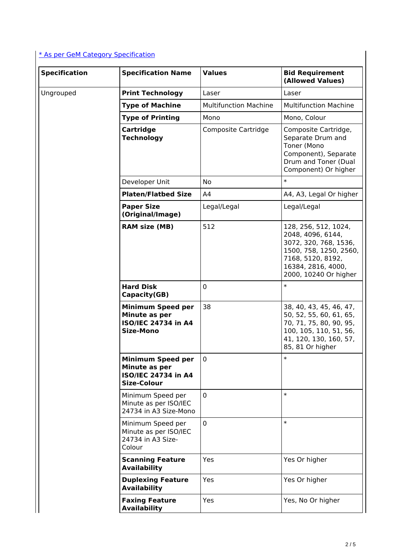## [\\* As per GeM Category Specification](https://bidplus.gem.gov.in/bidding/bid/showCatalogue/-WLa4w96vB64apOff3FhM16t8pN6pNpbyBVRN7VhJ20)

| <b>Specification</b> | <b>Specification Name</b>                                                              | <b>Values</b>                | <b>Bid Requirement</b><br>(Allowed Values)                                                                                                                       |
|----------------------|----------------------------------------------------------------------------------------|------------------------------|------------------------------------------------------------------------------------------------------------------------------------------------------------------|
| Ungrouped            | <b>Print Technology</b>                                                                | Laser                        | Laser                                                                                                                                                            |
|                      | <b>Type of Machine</b>                                                                 | <b>Multifunction Machine</b> | <b>Multifunction Machine</b>                                                                                                                                     |
|                      | <b>Type of Printing</b>                                                                | Mono                         | Mono, Colour                                                                                                                                                     |
|                      | Cartridge<br><b>Technology</b>                                                         | Composite Cartridge          | Composite Cartridge,<br>Separate Drum and<br>Toner (Mono<br>Component), Separate<br>Drum and Toner (Dual<br>Component) Or higher                                 |
|                      | Developer Unit                                                                         | No                           | $\ast$                                                                                                                                                           |
|                      | <b>Platen/Flatbed Size</b>                                                             | A <sub>4</sub>               | A4, A3, Legal Or higher                                                                                                                                          |
|                      | <b>Paper Size</b><br>(Original/Image)                                                  | Legal/Legal                  | Legal/Legal                                                                                                                                                      |
|                      | <b>RAM size (MB)</b>                                                                   | 512                          | 128, 256, 512, 1024,<br>2048, 4096, 6144,<br>3072, 320, 768, 1536,<br>1500, 758, 1250, 2560,<br>7168, 5120, 8192,<br>16384, 2816, 4000,<br>2000, 10240 Or higher |
|                      | <b>Hard Disk</b><br>Capacity(GB)                                                       | $\mathbf 0$                  | $\ast$                                                                                                                                                           |
|                      | <b>Minimum Speed per</b><br>Minute as per<br>ISO/IEC 24734 in A4<br><b>Size-Mono</b>   | 38                           | 38, 40, 43, 45, 46, 47,<br>50, 52, 55, 60, 61, 65,<br>70, 71, 75, 80, 90, 95,<br>100, 105, 110, 51, 56,<br>41, 120, 130, 160, 57,<br>85, 81 Or higher            |
|                      | <b>Minimum Speed per</b><br>Minute as per<br>ISO/IEC 24734 in A4<br><b>Size-Colour</b> | 0                            | $\ast$                                                                                                                                                           |
|                      | Minimum Speed per<br>Minute as per ISO/IEC<br>24734 in A3 Size-Mono                    | $\mathbf 0$                  | $\ast$                                                                                                                                                           |
|                      | Minimum Speed per<br>Minute as per ISO/IEC<br>24734 in A3 Size-<br>Colour              | $\mathbf 0$                  | $\ast$                                                                                                                                                           |
|                      | <b>Scanning Feature</b><br><b>Availability</b>                                         | Yes                          | Yes Or higher                                                                                                                                                    |
|                      | <b>Duplexing Feature</b><br><b>Availability</b>                                        | Yes                          | Yes Or higher                                                                                                                                                    |
|                      | <b>Faxing Feature</b><br><b>Availability</b>                                           | Yes                          | Yes, No Or higher                                                                                                                                                |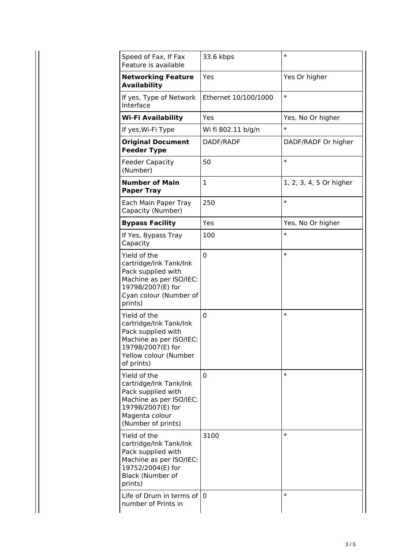| Speed of Fax, If Fax<br>Feature is available                                                                                                         | 33.6 kbps                | $\ast$                  |
|------------------------------------------------------------------------------------------------------------------------------------------------------|--------------------------|-------------------------|
| <b>Networking Feature</b><br><b>Availability</b>                                                                                                     | Yes                      | Yes Or higher           |
| If yes, Type of Network<br>Interface                                                                                                                 | Ethernet 10/100/1000     | $\ast$                  |
| <b>Wi-Fi Availability</b>                                                                                                                            | Yes<br>Yes, No Or higher |                         |
| If yes, Wi-Fi Type                                                                                                                                   | Wi fi 802.11 b/g/n       | $\ast$                  |
| <b>Original Document</b><br><b>Feeder Type</b>                                                                                                       | DADF/RADF                | DADF/RADF Or higher     |
| <b>Feeder Capacity</b><br>(Number)                                                                                                                   | 50                       | $\ast$                  |
| <b>Number of Main</b><br><b>Paper Tray</b>                                                                                                           | 1                        | 1, 2, 3, 4, 5 Or higher |
| Each Main Paper Tray<br>Capacity (Number)                                                                                                            | 250                      | $\ast$                  |
| <b>Bypass Facility</b>                                                                                                                               | Yes                      | Yes, No Or higher       |
| If Yes, Bypass Tray<br>Capacity                                                                                                                      | 100                      | $\ast$                  |
| Yield of the<br>cartridge/Ink Tank/Ink<br>Pack supplied with<br>Machine as per ISO/IEC:<br>19798/2007(E) for<br>Cyan colour (Number of<br>prints)    | 0                        | $\ast$                  |
| Yield of the<br>cartridge/Ink Tank/Ink<br>Pack supplied with<br>Machine as per ISO/IEC:<br>19798/2007(E) for<br>Yellow colour (Number<br>of prints)  | 0                        | $\ast$                  |
| Yield of the<br>cartridge/Ink Tank/Ink<br>Pack supplied with<br>Machine as per ISO/IEC:<br>19798/2007(E) for<br>Magenta colour<br>(Number of prints) | 0                        | $\ast$                  |
| Yield of the<br>cartridge/Ink Tank/Ink<br>Pack supplied with<br>Machine as per ISO/IEC:<br>19752/2004(E) for<br>Black (Number of<br>prints)          | 3100                     | $\ast$                  |
| Life of Drum in terms of<br>number of Prints in                                                                                                      | $\mathbf{0}$             | $\ast$                  |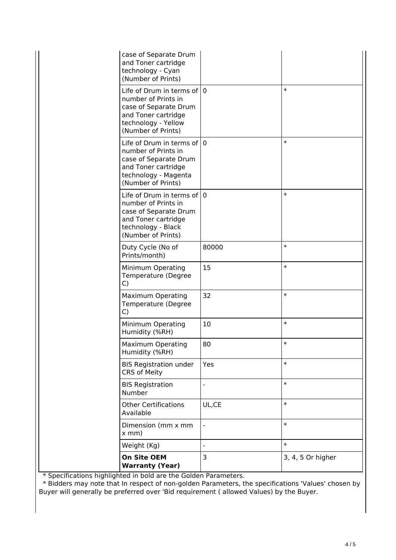| Minimum Operating                                                                                                                             | 10           | $\ast$ |
|-----------------------------------------------------------------------------------------------------------------------------------------------|--------------|--------|
| $\mathsf{C}$                                                                                                                                  |              |        |
| $\mathsf{C}$<br><b>Maximum Operating</b><br>Temperature (Degree                                                                               | 32           | $\ast$ |
| Prints/month)<br>Minimum Operating<br>Temperature (Degree                                                                                     | 15           | $\ast$ |
| (Number of Prints)<br>Duty Cycle (No of                                                                                                       | 80000        | $\ast$ |
| Life of Drum in terms of<br>number of Prints in<br>case of Separate Drum<br>and Toner cartridge<br>technology - Black                         | $\mathbf 0$  | $\ast$ |
| Life of Drum in terms of<br>number of Prints in<br>case of Separate Drum<br>and Toner cartridge<br>technology - Magenta<br>(Number of Prints) | $\mathbf{0}$ | $\ast$ |
| Life of Drum in terms of<br>number of Prints in<br>case of Separate Drum<br>and Toner cartridge<br>technology - Yellow<br>(Number of Prints)  | $\Omega$     | $\ast$ |
| case of Separate Drum<br>and Toner cartridge<br>technology - Cyan<br>(Number of Prints)                                                       |              |        |

\* Specifications highlighted in bold are the Golden Parameters.

 \* Bidders may note that In respect of non-golden Parameters, the specifications 'Values' chosen by Buyer will generally be preferred over 'Bid requirement ( allowed Values) by the Buyer.